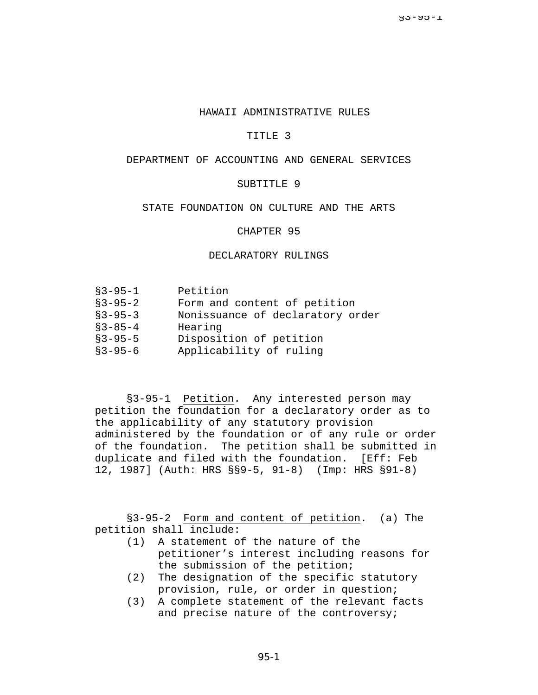#### HAWAII ADMINISTRATIVE RULES

### TITLE 3

# DEPARTMENT OF ACCOUNTING AND GENERAL SERVICES

## SUBTITLE 9

### STATE FOUNDATION ON CULTURE AND THE ARTS

### CHAPTER 95

### DECLARATORY RULINGS

| $$3 - 95 - 1$ | Petition                         |
|---------------|----------------------------------|
| $$3 - 95 - 2$ | Form and content of petition     |
| $$3 - 95 - 3$ | Nonissuance of declaratory order |
| $$3 - 85 - 4$ | Hearing                          |
| $$3 - 95 - 5$ | Disposition of petition          |
| $$3 - 95 - 6$ | Applicability of ruling          |

§3-95-1 Petition. Any interested person may petition the foundation for a declaratory order as to the applicability of any statutory provision administered by the foundation or of any rule or order of the foundation. The petition shall be submitted in duplicate and filed with the foundation. [Eff: Feb 12, 1987] (Auth: HRS §§9-5, 91-8) (Imp: HRS §91-8)

§3-95-2 Form and content of petition. (a) The petition shall include:

- (1) A statement of the nature of the petitioner's interest including reasons for the submission of the petition;
- (2) The designation of the specific statutory provision, rule, or order in question;
- (3) A complete statement of the relevant facts and precise nature of the controversy;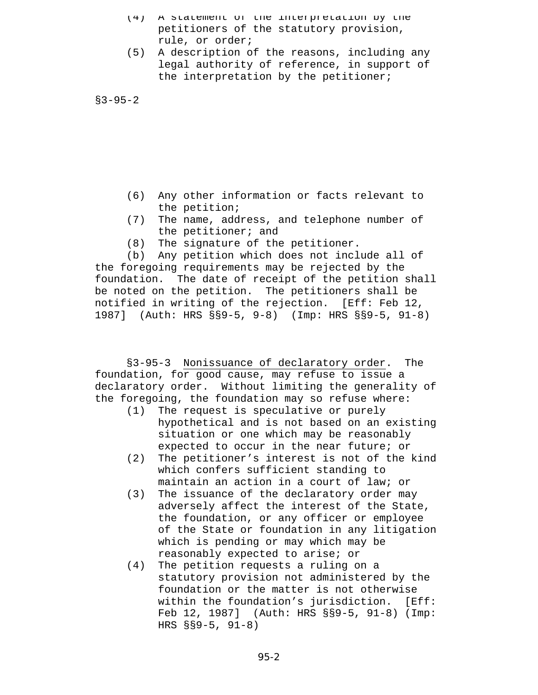- (4) A statement of the interpretation by the petitioners of the statutory provision, rule, or order;
- (5) A description of the reasons, including any legal authority of reference, in support of the interpretation by the petitioner;

§3-95-2

- (6) Any other information or facts relevant to the petition;
- (7) The name, address, and telephone number of the petitioner; and
- (8) The signature of the petitioner.

(b) Any petition which does not include all of the foregoing requirements may be rejected by the foundation. The date of receipt of the petition shall be noted on the petition. The petitioners shall be notified in writing of the rejection. [Eff: Feb 12, 1987] (Auth: HRS §§9-5, 9-8) (Imp: HRS §§9-5, 91-8)

§3-95-3 Nonissuance of declaratory order. The foundation, for good cause, may refuse to issue a declaratory order. Without limiting the generality of the foregoing, the foundation may so refuse where:

- (1) The request is speculative or purely hypothetical and is not based on an existing situation or one which may be reasonably expected to occur in the near future; or
- (2) The petitioner's interest is not of the kind which confers sufficient standing to maintain an action in a court of law; or
- (3) The issuance of the declaratory order may adversely affect the interest of the State, the foundation, or any officer or employee of the State or foundation in any litigation which is pending or may which may be reasonably expected to arise; or
- (4) The petition requests a ruling on a statutory provision not administered by the foundation or the matter is not otherwise within the foundation's jurisdiction. [Eff: Feb 12, 1987] (Auth: HRS §§9-5, 91-8) (Imp: HRS §§9-5, 91-8)